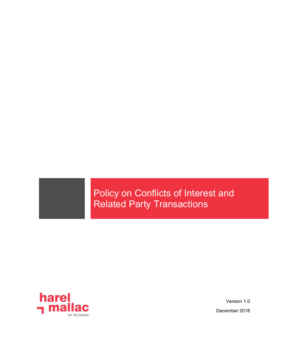# Policy on Conflicts of Interest and Related Party Transactions



Version 1.0 December 2018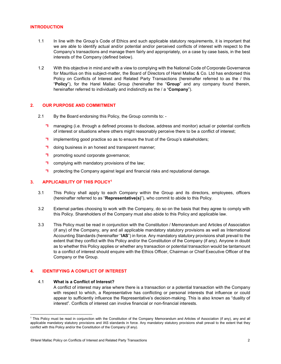## INTRODUCTION

- 1.1 In line with the Group's Code of Ethics and such applicable statutory requirements, it is important that we are able to identify actual and/or potential and/or perceived conflicts of interest with respect to the Company's transactions and manage them fairly and appropriately, on a case by case basis, in the best interests of the Company (defined below).
- 1.2 With this objective in mind and with a view to complying with the National Code of Corporate Governance for Mauritius on this subject-matter, the Board of Directors of Harel Mallac & Co. Ltd has endorsed this Policy on Conflicts of Interest and Related Party Transactions (hereinafter referred to as the / this "Policy"), for the Harel Mallac Group (hereinafter the "Group" and any company found therein, hereinafter referred to individually and indistinctly as the / a "Company").

#### 2. OUR PURPOSE AND COMMITMENT

- 2.1 By the Board endorsing this Policy, the Group commits to:
	- **T** managing (i.e. through a defined process to disclose, address and monitor) actual or potential conflicts of interest or situations where others might reasonably perceive there to be a conflict of interest;
	- **T** implementing good practice so as to ensure the trust of the Group's stakeholders;
	- doing business in an honest and transparent manner;
	- **T** promoting sound corporate governance;
	- **T** complying with mandatory provisions of the law;
	- **T** protecting the Company against legal and financial risks and reputational damage.

## 3. APPLICABILITY OF THIS POLICY<sup>1</sup>

- 3.1 This Policy shall apply to each Company within the Group and its directors, employees, officers (hereinafter referred to as "Representative(s)"), who commit to abide to this Policy.
- 3.2 External parties choosing to work with the Company, do so on the basis that they agree to comply with this Policy. Shareholders of the Company must also abide to this Policy and applicable law.
- 3.3 This Policy must be read in conjunction with the Constitution / Memorandum and Articles of Association (if any) of the Company, any and all applicable mandatory statutory provisions as well as International Accounting Standards (hereinafter "IAS") in force. Any mandatory statutory provisions shall prevail to the extent that they conflict with this Policy and/or the Constitution of the Company (if any). Anyone in doubt as to whether this Policy applies or whether any transaction or potential transaction would be tantamount to a conflict of interest should enquire with the Ethics Officer, Chairman or Chief Executive Officer of the Company or the Group.

# 4. IDENTIFYING A CONFLICT OF INTEREST

#### 4.1 What is a Conflict of Interest?

l

A conflict of interest may arise where there is a transaction or a potential transaction with the Company with respect to which, a Representative has conflicting or personal interests that influence or could appear to sufficiently influence the Representative's decision-making. This is also known as "duality of interest". Conflicts of interest can involve financial or non-financial interests.

<sup>&</sup>lt;sup>1</sup> This Policy must be read in conjunction with the Constitution of the Company Memorandum and Articles of Association (if any), any and all applicable mandatory statutory provisions and IAS standards in force. Any mandatory statutory provisions shall prevail to the extent that they conflict with this Policy and/or the Constitution of the Company (if any).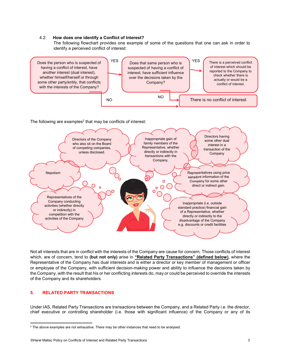#### 4.2. How does one identify a Conflict of Interest?

The following flowchart provides one example of some of the questions that one can ask in order to identify a perceived conflict of interest:



The following are examples<sup>2</sup> that may be conflicts of interest:



Not all interests that are in conflict with the interests of the Company are cause for concern. Those conflicts of interest which, are of concern, tend to (but not only) arise in "Related Party Transactions" (defined below), where the Representative of the Company has dual interests and is either a director or key member of management or officer or employee of the Company, with sufficient decision-making power and ability to influence the decisions taken by the Company, with the result that his or her conflicting interests do, may or could be perceived to override the interests of the Company and its shareholders.

### 5. RELATED PARTY TRANSACTIONS

Under IAS, Related Party Transactions are transactions between the Company, and a Related Party i.e. the director, chief executive or controlling shareholder (i.e. those with significant influence) of the Company or any of its

 $\overline{a}$  $<sup>2</sup>$  The above examples are not exhaustive. There may be other instances that need to be analysed.</sup>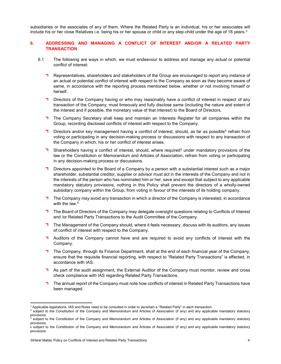subsidiaries or the associates of any of them. Where the Related Party is an individual, his or her associates will include his or her close Relatives i.e. being his or her spouse or child or any step-child under the age of 18 years.<sup>3</sup>

# 6. ADDRESSING AND MANAGING A CONFLICT OF INTEREST AND/OR A RELATED PARTY **TRANSACTION**

- 6.1 The following are ways in which, we must endeavour to address and manage any actual or potential conflict of interest:
	- **Representatives, shareholders and stakeholders of the Group are encouraged to report any instance of** an actual or potential conflict of interest with respect to the Company as soon as they become aware of same, in accordance with the reporting process mentioned below, whether or not involving himself or herself.
	- **Directors of the Company having or who may reasonably have a conflict of interest in respect of any** transaction of the Company, must timeously and fully disclose same (including the nature and extent of the interest and if possible, the monetary value of that interest) to the Board of Directors.
	- The Company Secretary shall keep and maintain an Interests Register for all companies within the Group, recording disclosed conflicts of interest with respect to the Company.
	- Directors and/or key management having a conflict of interest, should, as far as possible<sup>4</sup> refrain from voting or participating in any decision-making process or discussions with respect to any transaction of the Company in which, his or her conflict of interest arises.
	- Shareholders having a conflict of interest, should, where required<sup>5</sup> under mandatory provisions of the law or the Constitution or Memorandum and Articles of Association, refrain from voting or participating in any decision-making process or discussions.
	- **Directors appointed to the Board of a Company by a person with a substantial interest such as a major** shareholder, substantial creditor, supplier or advisor must act in the interests of the Company and not in the interests of the person who has nominated him or her, save and except that subject to any applicable mandatory statutory provisions, nothing in this Policy shall prevent the directors of a wholly-owned subsidiary company within the Group, from voting in favour of the interests of its holding company.
	- The Company may avoid any transaction in which a director of the Company is interested, in accordance with the law.<sup>6</sup>
	- The Board of Directors of the Company may delegate oversight questions relating to Conflicts of Interest and /or Related Party Transactions to the Audit Committee of the Company.
	- The Management of the Company should, where it feels necessary, discuss with its auditors, any issues of conflict of interest with respect to the Company.
	- **H** Auditors of the Company cannot have and are required to avoid any conflicts of interest with the Company.
	- The Company, through its Finance Department, shall at the end of each financial year of the Company, ensure that the requisite financial reporting, with respect to "Related Party Transactions" is effected, in accordance with IAS.
	- **T** As part of the audit assignment, the External Auditor of the Company must monitor, review and cross check compliance with IAS regarding Related Party Transactions.
	- The annual report of the Company must note how conflicts of interest in Related Party Transactions have been managed.

 $\overline{a}$ <sup>3</sup> Applicable legislations, IAS and Rules need to be consulted in order to ascertain a "Related Party" in each transaction.

<sup>4</sup> subject to the Constitution of the Company and Memorandum and Articles of Association (if any) and any applicable mandatory statutory provisions.<br><sup>5</sup> subject to

subject to the Constitution of the Company and Memorandum and Articles of Association (if any) and any applicable mandatory statutory provisions.

<sup>6</sup> subject to the Constitution of the Company and Memorandum and Articles of Association (if any) and any applicable mandatory statutory provisions.